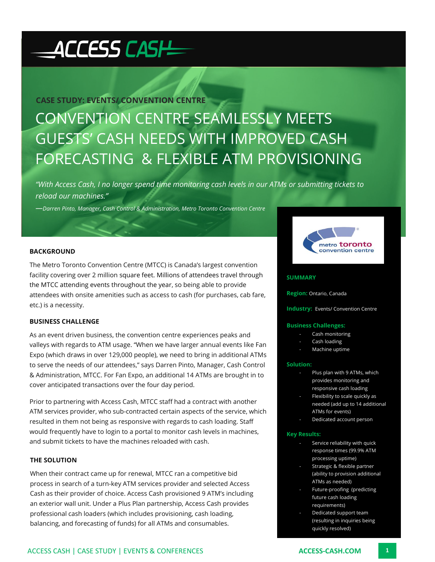# ACCESS CASH

# **CASE STUDY: EVENTS/ CONVENTION CENTRE**

# CONVENTION CENTRE SEAMLESSLY MEETS GUESTS' CASH NEEDS WITH IMPROVED CASH FORECASTING & FLEXIBLE ATM PROVISIONING

*"With Access Cash, I no longer spend time monitoring cash levels in our ATMs or submitting tickets to reload our machines."*

*—Darren Pinto, Manager, Cash Control & Administration, Metro Toronto Convention Centre*

# **BACKGROUND**

The Metro Toronto Convention Centre (MTCC) is Canada's largest convention facility covering over 2 million square feet. Millions of attendees travel through the MTCC attending events throughout the year, so being able to provide attendees with onsite amenities such as access to cash (for purchases, cab fare, etc.) is a necessity.

### **BUSINESS CHALLENGE**

As an event driven business, the convention centre experiences peaks and valleys with regards to ATM usage. "When we have larger annual events like Fan Expo (which draws in over 129,000 people), we need to bring in additional ATMs to serve the needs of our attendees," says Darren Pinto, Manager, Cash Control & Administration, MTCC. For Fan Expo, an additional 14 ATMs are brought in to cover anticipated transactions over the four day period.

Prior to partnering with Access Cash, MTCC staff had a contract with another ATM services provider, who sub-contracted certain aspects of the service, which resulted in them not being as responsive with regards to cash loading. Staff would frequently have to login to a portal to monitor cash levels in machines, and submit tickets to have the machines reloaded with cash.

## **THE SOLUTION**

When their contract came up for renewal, MTCC ran a competitive bid process in search of a turn-key ATM services provider and selected Access Cash as their provider of choice. Access Cash provisioned 9 ATM's including an exterior wall unit. Under a Plus Plan partnership, Access Cash provides professional cash loaders (which includes provisioning, cash loading, balancing, and forecasting of funds) for all ATMs and consumables.



#### **SUMMARY**

**Region:** Ontario, Canada

**Industry: Events/ Convention Centre** 

#### **Business Challenges:**

- Cash monitoring
- Cash loading
- Machine uptime

#### **Solution:**

- Plus plan with 9 ATMs, which provides monitoring and responsive cash loading
- Flexibility to scale quickly as needed (add up to 14 additional ATMs for events)
- Dedicated account person

#### **Key Results:**

- Service reliability with quick response times (99.9% ATM processing uptime)
- Strategic & flexible partner (ability to provision additional ATMs as needed)
- Future-proofing (predicting future cash loading requirements)
- Dedicated support team (resulting in inquiries being quickly resolved)